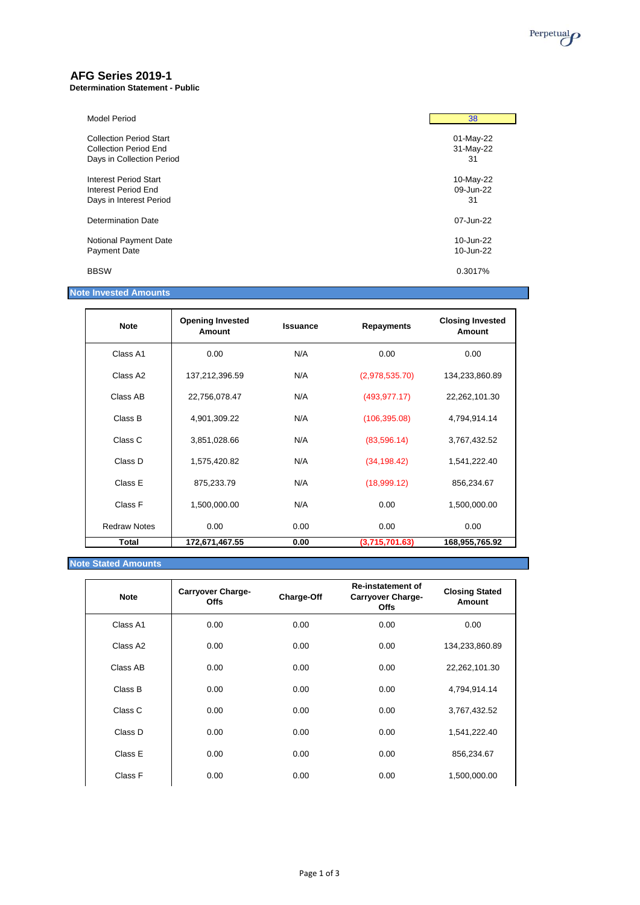

## **AFG Series 2019-1**

**Determination Statement - Public**

| <b>Model Period</b>            | 38        |
|--------------------------------|-----------|
| <b>Collection Period Start</b> | 01-May-22 |
| Collection Period End          | 31-May-22 |
| Days in Collection Period      | 31        |
| Interest Period Start          | 10-May-22 |
| Interest Period End            | 09-Jun-22 |
| Days in Interest Period        | 31        |
| Determination Date             | 07-Jun-22 |
| Notional Payment Date          | 10-Jun-22 |
| Payment Date                   | 10-Jun-22 |
| <b>BBSW</b>                    | 0.3017%   |

### **Note Invested Amounts**

| <b>Note</b>          | <b>Opening Invested</b><br>Amount | <b>Issuance</b> | <b>Repayments</b> | <b>Closing Invested</b><br>Amount |
|----------------------|-----------------------------------|-----------------|-------------------|-----------------------------------|
| Class A1             | 0.00                              | N/A             | 0.00              | 0.00                              |
| Class A <sub>2</sub> | 137,212,396.59                    | N/A             | (2,978,535.70)    | 134,233,860.89                    |
| Class AB             | 22,756,078.47                     | N/A             | (493, 977.17)     | 22,262,101.30                     |
| Class B              | 4,901,309.22                      | N/A             | (106, 395.08)     | 4,794,914.14                      |
| Class C              | 3,851,028.66                      | N/A             | (83,596.14)       | 3,767,432.52                      |
| Class D              | 1,575,420.82                      | N/A             | (34, 198.42)      | 1,541,222.40                      |
| Class E              | 875,233.79                        | N/A             | (18,999.12)       | 856,234.67                        |
| Class F              | 1,500,000.00                      | N/A             | 0.00              | 1,500,000.00                      |
| <b>Redraw Notes</b>  | 0.00                              | 0.00            | 0.00              | 0.00                              |
| <b>Total</b>         | 172,671,467.55                    | 0.00            | (3,715,701.63)    | 168,955,765.92                    |

### **Note Stated Amounts**

| <b>Note</b> | <b>Carryover Charge-</b><br>Offs | Charge-Off | <b>Re-instatement of</b><br><b>Carryover Charge-</b><br><b>Offs</b> | <b>Closing Stated</b><br>Amount |
|-------------|----------------------------------|------------|---------------------------------------------------------------------|---------------------------------|
| Class A1    | 0.00                             | 0.00       | 0.00                                                                | 0.00                            |
| Class A2    | 0.00                             | 0.00       | 0.00                                                                | 134,233,860.89                  |
| Class AB    | 0.00                             | 0.00       | 0.00                                                                | 22,262,101.30                   |
| Class B     | 0.00                             | 0.00       | 0.00                                                                | 4,794,914.14                    |
| Class C     | 0.00                             | 0.00       | 0.00                                                                | 3,767,432.52                    |
| Class D     | 0.00                             | 0.00       | 0.00                                                                | 1,541,222.40                    |
| Class E     | 0.00                             | 0.00       | 0.00                                                                | 856,234.67                      |
| Class F     | 0.00                             | 0.00       | 0.00                                                                | 1,500,000.00                    |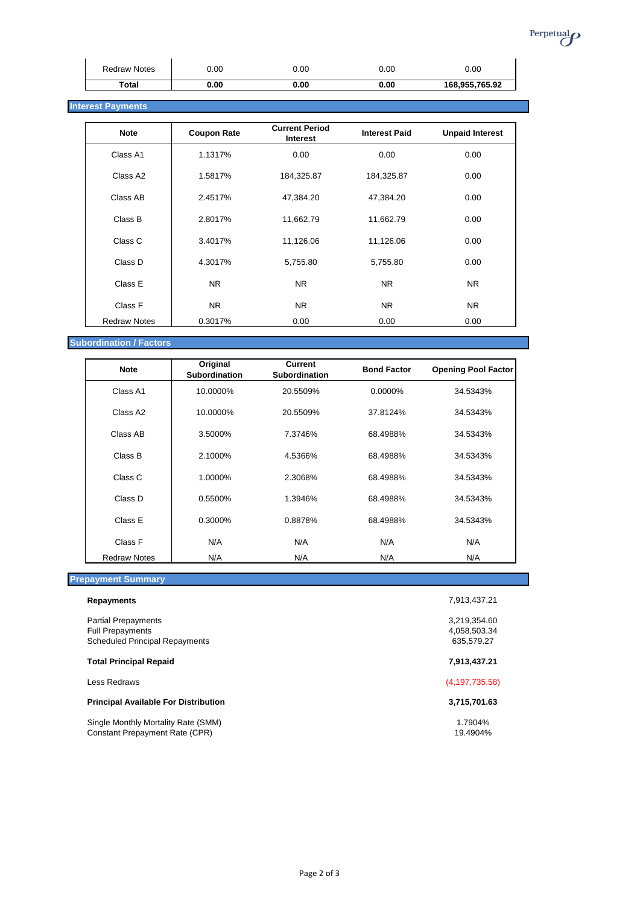

| <b>Redraw Notes</b> | 0.00 | 0.00 | 0.00 | 0.00           |
|---------------------|------|------|------|----------------|
| Total               | 0.00 | 0.00 | 0.00 | 168,955,765.92 |

### **Interest Payments**

| <b>Note</b>         | <b>Coupon Rate</b> | <b>Current Period</b><br><b>Interest</b> | <b>Interest Paid</b> | <b>Unpaid Interest</b> |
|---------------------|--------------------|------------------------------------------|----------------------|------------------------|
| Class A1            | 1.1317%            | 0.00                                     | 0.00                 | 0.00                   |
| Class A2            | 1.5817%            | 184,325.87                               | 184,325.87           | 0.00                   |
| Class AB            | 2.4517%            | 47,384.20                                | 47,384.20            | 0.00                   |
| Class B             | 2.8017%            | 11,662.79                                | 11,662.79            | 0.00                   |
| Class C             | 3.4017%            | 11,126.06                                | 11,126.06            | 0.00                   |
| Class D             | 4.3017%            | 5,755.80                                 | 5,755.80             | 0.00                   |
| Class E             | <b>NR</b>          | <b>NR</b>                                | <b>NR</b>            | <b>NR</b>              |
| Class F             | NR.                | NR.                                      | N <sub>R</sub>       | N <sub>R</sub>         |
| <b>Redraw Notes</b> | 0.3017%            | 0.00                                     | 0.00                 | 0.00                   |

### **Subordination / Factors**

| <b>Note</b>         | Original<br><b>Subordination</b> | <b>Current</b><br><b>Subordination</b> | <b>Bond Factor</b> | <b>Opening Pool Factor</b> |
|---------------------|----------------------------------|----------------------------------------|--------------------|----------------------------|
| Class A1            | 10.0000%                         | 20.5509%                               | 0.0000%            | 34.5343%                   |
| Class A2            | 10.0000%                         | 20.5509%                               | 37.8124%           | 34.5343%                   |
| Class AB            | 3.5000%                          | 7.3746%                                | 68.4988%           | 34.5343%                   |
| Class B             | 2.1000%                          | 4.5366%                                | 68.4988%           | 34.5343%                   |
| Class C             | 1.0000%                          | 2.3068%                                | 68.4988%           | 34.5343%                   |
| Class D             | 0.5500%                          | 1.3946%                                | 68.4988%           | 34.5343%                   |
| Class E             | 0.3000%                          | 0.8878%                                | 68.4988%           | 34.5343%                   |
| Class F             | N/A                              | N/A                                    | N/A                | N/A                        |
| <b>Redraw Notes</b> | N/A                              | N/A                                    | N/A                | N/A                        |

# **Prepayment Summary**

| <b>Repayments</b>                                                                              | 7.913.437.21                               |
|------------------------------------------------------------------------------------------------|--------------------------------------------|
| <b>Partial Prepayments</b><br><b>Full Prepayments</b><br><b>Scheduled Principal Repayments</b> | 3,219,354.60<br>4,058,503.34<br>635.579.27 |
| <b>Total Principal Repaid</b>                                                                  | 7,913,437.21                               |
| Less Redraws                                                                                   | (4, 197, 735.58)                           |
| <b>Principal Available For Distribution</b>                                                    | 3,715,701.63                               |
| Single Monthly Mortality Rate (SMM)<br><b>Constant Prepayment Rate (CPR)</b>                   | 1.7904%<br>19.4904%                        |